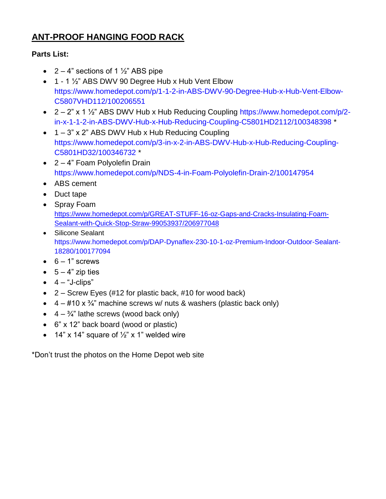# **ANT-PROOF HANGING FOOD RACK**

## **Parts List:**

- $2 4$ " sections of 1  $\frac{1}{2}$ " ABS pipe
- 1 1 1/2" [ABS DWV 90 Degree Hub x Hub Vent Elbow](https://www.homedepot.com/p/1-1-2-in-ABS-DWV-90-Degree-Hub-x-Hub-Vent-Elbow-C5807VHD112/100206551) [https://www.homedepot.com/p/1-1-2-in-ABS-DWV-90-Degree-Hub-x-Hub-Vent-Elbow-](https://www.homedepot.com/p/1-1-2-in-ABS-DWV-90-Degree-Hub-x-Hub-Vent-Elbow-C5807VHD112/100206551)[C5807VHD112/100206551](https://www.homedepot.com/p/1-1-2-in-ABS-DWV-90-Degree-Hub-x-Hub-Vent-Elbow-C5807VHD112/100206551)
- $2 2$ " x 1  $\frac{1}{2}$ " [ABS DWV Hub x Hub Reducing Coupling](https://www.homedepot.com/p/2-in-x-1-1-2-in-ABS-DWV-Hub-x-Hub-Reducing-Coupling-C5801HD2112/100348398) [https://www.homedepot.com/p/2](https://www.homedepot.com/p/2-in-x-1-1-2-in-ABS-DWV-Hub-x-Hub-Reducing-Coupling-C5801HD2112/100348398) [in-x-1-1-2-in-ABS-DWV-Hub-x-Hub-Reducing-Coupling-C5801HD2112/100348398](https://www.homedepot.com/p/2-in-x-1-1-2-in-ABS-DWV-Hub-x-Hub-Reducing-Coupling-C5801HD2112/100348398) \*
- $\bullet$  1 3" x 2" [ABS DWV Hub x Hub Reducing Coupling](https://www.homedepot.com/p/3-in-x-2-in-ABS-DWV-Hub-x-Hub-Reducing-Coupling-C5801HD32/100346732) [https://www.homedepot.com/p/3-in-x-2-in-ABS-DWV-Hub-x-Hub-Reducing-Coupling-](https://www.homedepot.com/p/3-in-x-2-in-ABS-DWV-Hub-x-Hub-Reducing-Coupling-C5801HD32/100346732)[C5801HD32/100346732](https://www.homedepot.com/p/3-in-x-2-in-ABS-DWV-Hub-x-Hub-Reducing-Coupling-C5801HD32/100346732) \*
- 2 4" Foam Polyolefin Drain <https://www.homedepot.com/p/NDS-4-in-Foam-Polyolefin-Drain-2/100147954>
- ABS cement
- Duct tape
- Spray Foam [https://www.homedepot.com/p/GREAT-STUFF-16-oz-Gaps-and-Cracks-Insulating-Foam-](https://www.homedepot.com/p/GREAT-STUFF-16-oz-Gaps-and-Cracks-Insulating-Foam-Sealant-with-Quick-Stop-Straw-99053937/206977048)[Sealant-with-Quick-Stop-Straw-99053937/206977048](https://www.homedepot.com/p/GREAT-STUFF-16-oz-Gaps-and-Cracks-Insulating-Foam-Sealant-with-Quick-Stop-Straw-99053937/206977048)
- Silicone Sealant https://www.homedepot.com/p/DAP-Dynaflex-230-10-1-oz-Premium-Indoor-Outdoor-Sealant-18280/100177094
- $\bullet$  6 1" screws
- $\bullet$  5 4" zip ties
- $\bullet$  4 "J-clips"
- $\bullet$  2 Screw Eyes (#12 for plastic back, #10 for wood back)
- $\bullet$  4 #10 x  $\frac{3}{4}$ " machine screws w/ nuts & washers (plastic back only)
- $\bullet$  4  $\frac{3}{4}$ " lathe screws (wood back only)
- 6" x 12" back board (wood or plastic)
- 14" x 14" square of  $\frac{1}{2}$ " x 1" welded wire

\*Don't trust the photos on the Home Depot web site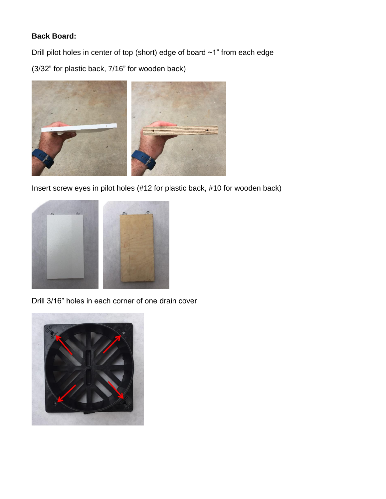## **Back Board:**

Drill pilot holes in center of top (short) edge of board ~1" from each edge

(3/32" for plastic back, 7/16" for wooden back)



Insert screw eyes in pilot holes (#12 for plastic back, #10 for wooden back)



Drill 3/16" holes in each corner of one drain cover

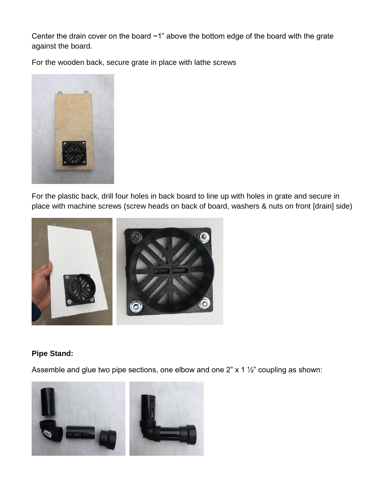Center the drain cover on the board ~1" above the bottom edge of the board with the grate against the board.

For the wooden back, secure grate in place with lathe screws



For the plastic back, drill four holes in back board to line up with holes in grate and secure in place with machine screws (screw heads on back of board, washers & nuts on front [drain] side)



#### **Pipe Stand:**

Assemble and glue two pipe sections, one elbow and one 2" x 1 ½" coupling as shown:

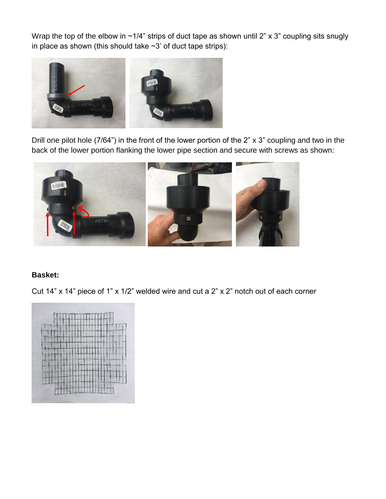Wrap the top of the elbow in ~1/4" strips of duct tape as shown until 2" x 3" coupling sits snugly in place as shown (this should take  $\sim$ 3' of duct tape strips):



Drill one pilot hole (7/64") in the front of the lower portion of the 2" x 3" coupling and two in the back of the lower portion flanking the lower pipe section and secure with screws as shown:



#### **Basket:**

Cut 14" x 14" piece of 1" x 1/2" welded wire and cut a 2" x 2" notch out of each corner

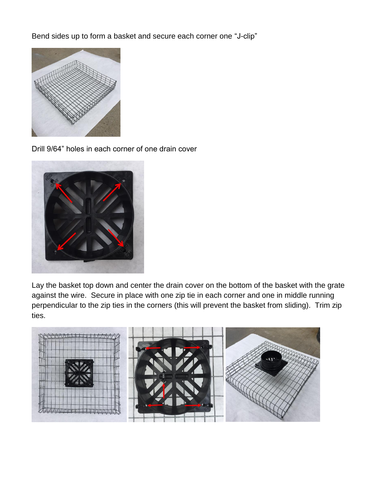Bend sides up to form a basket and secure each corner one "J-clip"



Drill 9/64" holes in each corner of one drain cover



Lay the basket top down and center the drain cover on the bottom of the basket with the grate against the wire. Secure in place with one zip tie in each corner and one in middle running perpendicular to the zip ties in the corners (this will prevent the basket from sliding). Trim zip ties.